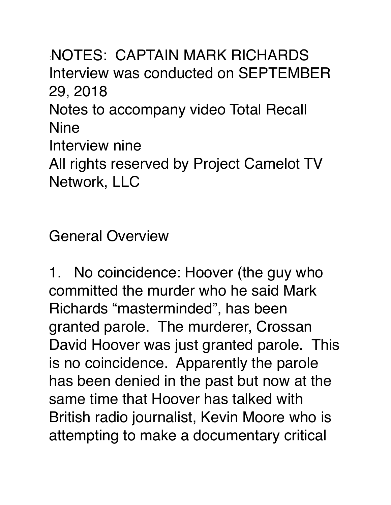:NOTES: CAPTAIN MARK RICHARDS Interview was conducted on SEPTEMBER 29, 2018 Notes to accompany video Total Recall Nine Interview nine All rights reserved by Project Camelot TV Network, LLC

General Overview

1. No coincidence: Hoover (the guy who committed the murder who he said Mark Richards "masterminded", has been granted parole. The murderer, Crossan David Hoover was just granted parole. This is no coincidence. Apparently the parole has been denied in the past but now at the same time that Hoover has talked with British radio journalist, Kevin Moore who is attempting to make a documentary critical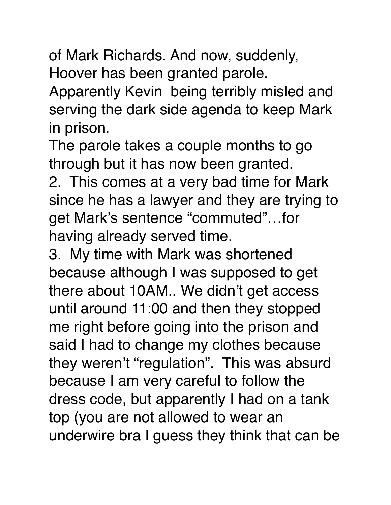of Mark Richards. And now, suddenly, Hoover has been granted parole.

Apparently Kevin being terribly misled and serving the dark side agenda to keep Mark in prison.

The parole takes a couple months to go through but it has now been granted.

2. This comes at a very bad time for Mark since he has a lawyer and they are trying to get Mark's sentence "commuted"…for having already served time.

3. My time with Mark was shortened because although I was supposed to get there about 10AM.. We didn't get access until around 11:00 and then they stopped me right before going into the prison and said I had to change my clothes because they weren't "regulation". This was absurd because I am very careful to follow the dress code, but apparently I had on a tank top (you are not allowed to wear an underwire bra I guess they think that can be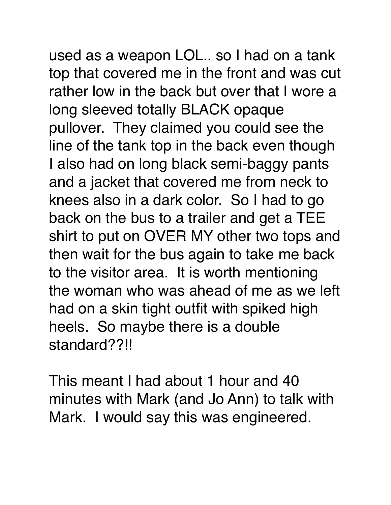used as a weapon LOL.. so I had on a tank top that covered me in the front and was cut rather low in the back but over that I wore a long sleeved totally BLACK opaque pullover. They claimed you could see the line of the tank top in the back even though I also had on long black semi-baggy pants and a jacket that covered me from neck to knees also in a dark color. So I had to go back on the bus to a trailer and get a TEE shirt to put on OVER MY other two tops and then wait for the bus again to take me back to the visitor area. It is worth mentioning the woman who was ahead of me as we left had on a skin tight outfit with spiked high

This meant I had about 1 hour and 40 minutes with Mark (and Jo Ann) to talk with Mark. I would say this was engineered.

heels. So maybe there is a double

standard??!!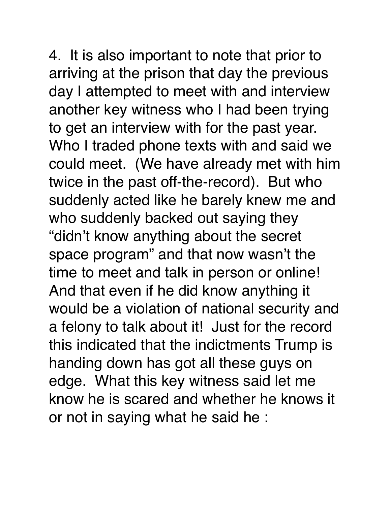4. It is also important to note that prior to arriving at the prison that day the previous day I attempted to meet with and interview another key witness who I had been trying to get an interview with for the past year. Who I traded phone texts with and said we could meet. (We have already met with him twice in the past off-the-record). But who suddenly acted like he barely knew me and who suddenly backed out saying they "didn't know anything about the secret space program" and that now wasn't the time to meet and talk in person or online! And that even if he did know anything it would be a violation of national security and a felony to talk about it! Just for the record this indicated that the indictments Trump is handing down has got all these guys on edge. What this key witness said let me know he is scared and whether he knows it or not in saying what he said he :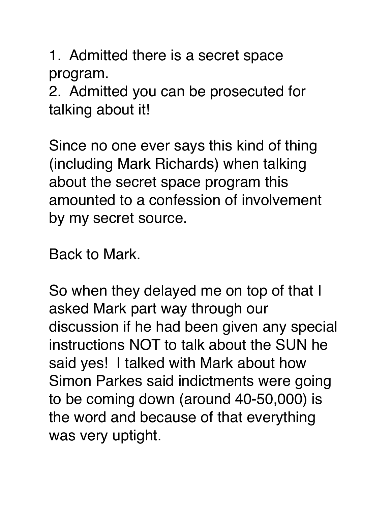1. Admitted there is a secret space program.

2. Admitted you can be prosecuted for talking about it!

Since no one ever says this kind of thing (including Mark Richards) when talking about the secret space program this amounted to a confession of involvement by my secret source.

Back to Mark.

So when they delayed me on top of that I asked Mark part way through our discussion if he had been given any special instructions NOT to talk about the SUN he said yes! I talked with Mark about how Simon Parkes said indictments were going to be coming down (around 40-50,000) is the word and because of that everything was very uptight.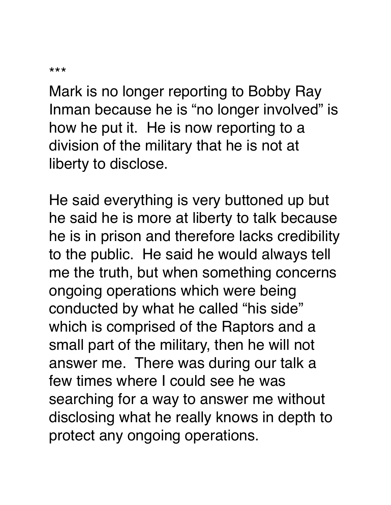```
***
```
Mark is no longer reporting to Bobby Ray Inman because he is "no longer involved" is how he put it. He is now reporting to a division of the military that he is not at liberty to disclose.

He said everything is very buttoned up but he said he is more at liberty to talk because he is in prison and therefore lacks credibility to the public. He said he would always tell me the truth, but when something concerns ongoing operations which were being conducted by what he called "his side" which is comprised of the Raptors and a small part of the military, then he will not answer me. There was during our talk a few times where I could see he was searching for a way to answer me without disclosing what he really knows in depth to protect any ongoing operations.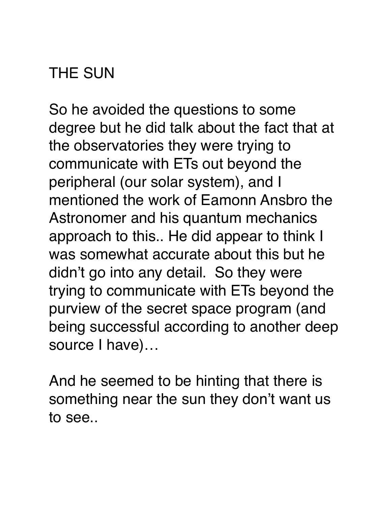## THE SUN

So he avoided the questions to some degree but he did talk about the fact that at the observatories they were trying to communicate with ETs out beyond the peripheral (our solar system), and I mentioned the work of Eamonn Ansbro the Astronomer and his quantum mechanics approach to this.. He did appear to think I was somewhat accurate about this but he didn't go into any detail. So they were trying to communicate with ETs beyond the purview of the secret space program (and being successful according to another deep source I have)…

And he seemed to be hinting that there is something near the sun they don't want us to see..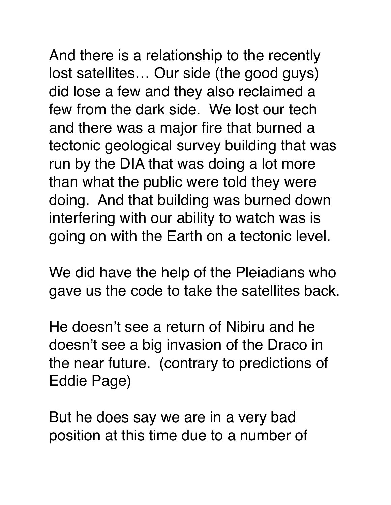And there is a relationship to the recently lost satellites… Our side (the good guys) did lose a few and they also reclaimed a few from the dark side. We lost our tech and there was a major fire that burned a tectonic geological survey building that was run by the DIA that was doing a lot more than what the public were told they were doing. And that building was burned down interfering with our ability to watch was is going on with the Earth on a tectonic level.

We did have the help of the Pleiadians who gave us the code to take the satellites back.

He doesn't see a return of Nibiru and he doesn't see a big invasion of the Draco in the near future. (contrary to predictions of Eddie Page)

But he does say we are in a very bad position at this time due to a number of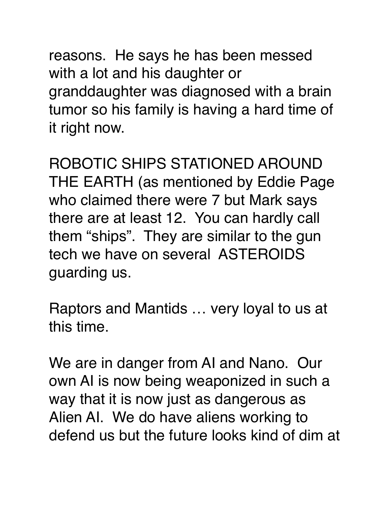reasons. He says he has been messed with a lot and his daughter or granddaughter was diagnosed with a brain tumor so his family is having a hard time of it right now.

ROBOTIC SHIPS STATIONED AROUND THE EARTH (as mentioned by Eddie Page who claimed there were 7 but Mark says there are at least 12. You can hardly call them "ships". They are similar to the gun tech we have on several ASTEROIDS guarding us.

Raptors and Mantids … very loyal to us at this time.

We are in danger from AI and Nano. Our own AI is now being weaponized in such a way that it is now just as dangerous as Alien AI. We do have aliens working to defend us but the future looks kind of dim at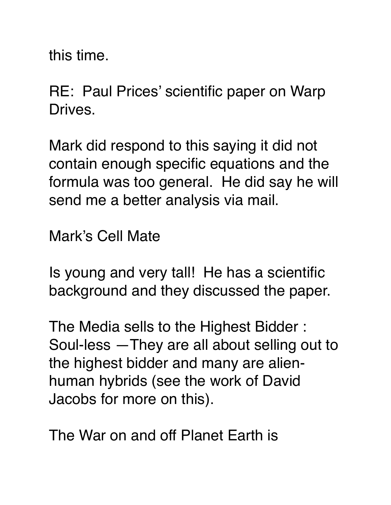this time.

RE: Paul Prices' scientific paper on Warp Drives.

Mark did respond to this saying it did not contain enough specific equations and the formula was too general. He did say he will send me a better analysis via mail.

Mark's Cell Mate

Is young and very tall! He has a scientific background and they discussed the paper.

The Media sells to the Highest Bidder : Soul-less —They are all about selling out to the highest bidder and many are alienhuman hybrids (see the work of David Jacobs for more on this).

The War on and off Planet Earth is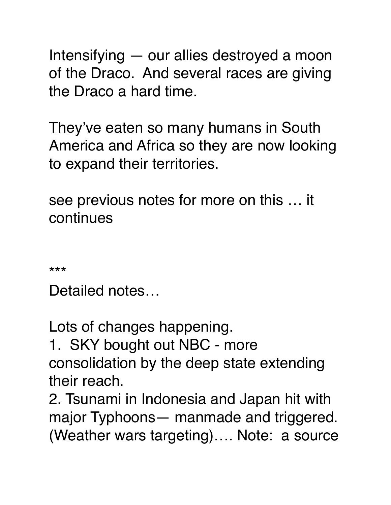Intensifying — our allies destroyed a moon of the Draco. And several races are giving the Draco a hard time.

They've eaten so many humans in South America and Africa so they are now looking to expand their territories.

see previous notes for more on this … it continues

\*\*\*

Detailed notes…

Lots of changes happening.

1. SKY bought out NBC - more consolidation by the deep state extending their reach.

2. Tsunami in Indonesia and Japan hit with major Typhoons— manmade and triggered. (Weather wars targeting)…. Note: a source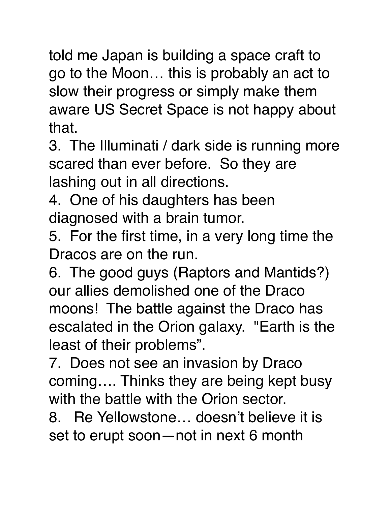told me Japan is building a space craft to go to the Moon… this is probably an act to slow their progress or simply make them aware US Secret Space is not happy about that.

3. The Illuminati / dark side is running more scared than ever before. So they are lashing out in all directions.

4. One of his daughters has been diagnosed with a brain tumor.

5. For the first time, in a very long time the Dracos are on the run.

6. The good guys (Raptors and Mantids?) our allies demolished one of the Draco moons! The battle against the Draco has escalated in the Orion galaxy. "Earth is the least of their problems".

7. Does not see an invasion by Draco coming…. Thinks they are being kept busy with the battle with the Orion sector.

8. Re Yellowstone… doesn't believe it is set to erupt soon—not in next 6 month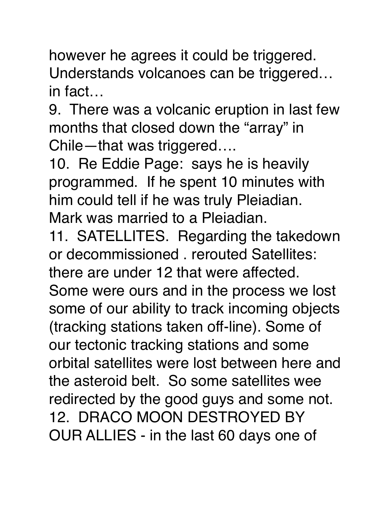however he agrees it could be triggered. Understands volcanoes can be triggered… in fact…

9. There was a volcanic eruption in last few months that closed down the "array" in Chile—that was triggered….

10. Re Eddie Page: says he is heavily programmed. If he spent 10 minutes with him could tell if he was truly Pleiadian. Mark was married to a Pleiadian.

11. SATELLITES. Regarding the takedown or decommissioned . rerouted Satellites:

there are under 12 that were affected.

Some were ours and in the process we lost some of our ability to track incoming objects (tracking stations taken off-line). Some of our tectonic tracking stations and some orbital satellites were lost between here and the asteroid belt. So some satellites wee redirected by the good guys and some not. 12. DRACO MOON DESTROYED BY OUR ALLIES - in the last 60 days one of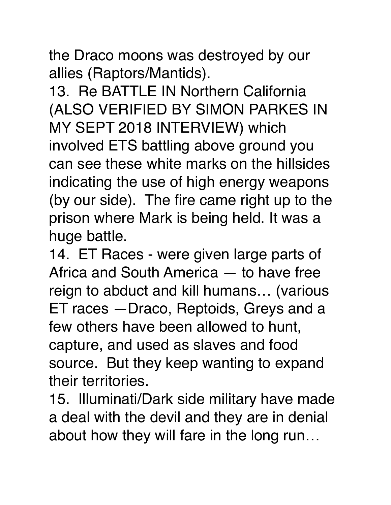the Draco moons was destroyed by our allies (Raptors/Mantids).

13. Re BATTLE IN Northern California (ALSO VERIFIED BY SIMON PARKES IN MY SEPT 2018 INTERVIEW) which involved ETS battling above ground you can see these white marks on the hillsides indicating the use of high energy weapons (by our side). The fire came right up to the prison where Mark is being held. It was a huge battle.

14. ET Races - were given large parts of Africa and South America — to have free reign to abduct and kill humans… (various ET races —Draco, Reptoids, Greys and a few others have been allowed to hunt, capture, and used as slaves and food source. But they keep wanting to expand their territories.

15. Illuminati/Dark side military have made a deal with the devil and they are in denial about how they will fare in the long run…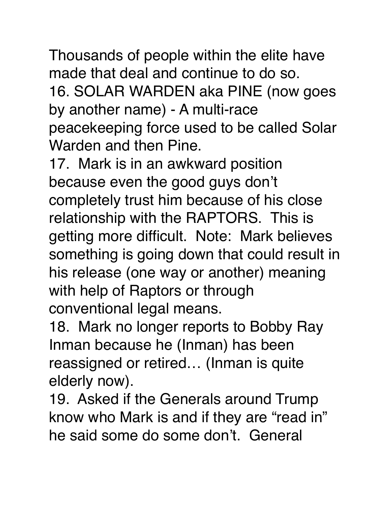Thousands of people within the elite have made that deal and continue to do so. 16. SOLAR WARDEN aka PINE (now goes by another name) - A multi-race peacekeeping force used to be called Solar Warden and then Pine.

17. Mark is in an awkward position because even the good guys don't completely trust him because of his close relationship with the RAPTORS. This is getting more difficult. Note: Mark believes something is going down that could result in his release (one way or another) meaning with help of Raptors or through conventional legal means.

18. Mark no longer reports to Bobby Ray Inman because he (Inman) has been reassigned or retired… (Inman is quite elderly now).

19. Asked if the Generals around Trump know who Mark is and if they are "read in" he said some do some don't. General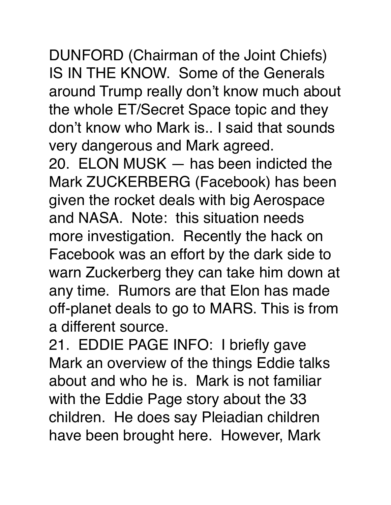DUNFORD (Chairman of the Joint Chiefs) IS IN THE KNOW. Some of the Generals around Trump really don't know much about the whole ET/Secret Space topic and they don't know who Mark is.. I said that sounds very dangerous and Mark agreed.

20. ELON MUSK — has been indicted the Mark ZUCKERBERG (Facebook) has been given the rocket deals with big Aerospace and NASA. Note: this situation needs more investigation. Recently the hack on Facebook was an effort by the dark side to warn Zuckerberg they can take him down at any time. Rumors are that Elon has made off-planet deals to go to MARS. This is from a different source.

21. EDDIE PAGE INFO: I briefly gave Mark an overview of the things Eddie talks about and who he is. Mark is not familiar with the Eddie Page story about the 33 children. He does say Pleiadian children have been brought here. However, Mark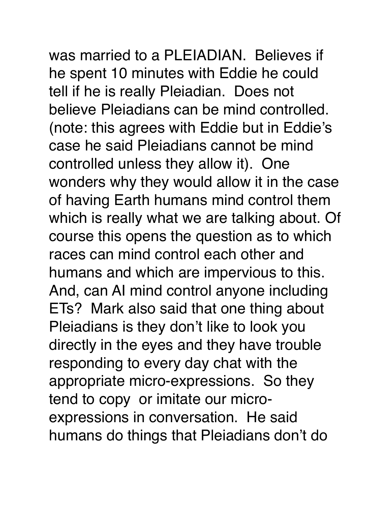was married to a PLEIADIAN. Believes if

he spent 10 minutes with Eddie he could tell if he is really Pleiadian. Does not believe Pleiadians can be mind controlled. (note: this agrees with Eddie but in Eddie's case he said Pleiadians cannot be mind controlled unless they allow it). One wonders why they would allow it in the case of having Earth humans mind control them which is really what we are talking about. Of course this opens the question as to which races can mind control each other and humans and which are impervious to this. And, can AI mind control anyone including ETs? Mark also said that one thing about Pleiadians is they don't like to look you directly in the eyes and they have trouble responding to every day chat with the appropriate micro-expressions. So they tend to copy or imitate our microexpressions in conversation. He said humans do things that Pleiadians don't do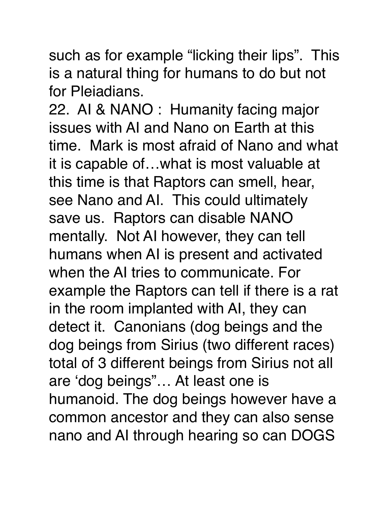such as for example "licking their lips". This is a natural thing for humans to do but not for Pleiadians.

22. AI & NANO : Humanity facing major issues with AI and Nano on Earth at this time. Mark is most afraid of Nano and what it is capable of…what is most valuable at this time is that Raptors can smell, hear, see Nano and AI. This could ultimately save us. Raptors can disable NANO mentally. Not AI however, they can tell humans when AI is present and activated when the AI tries to communicate. For example the Raptors can tell if there is a rat in the room implanted with AI, they can detect it. Canonians (dog beings and the dog beings from Sirius (two different races) total of 3 different beings from Sirius not all are 'dog beings"… At least one is humanoid. The dog beings however have a common ancestor and they can also sense nano and AI through hearing so can DOGS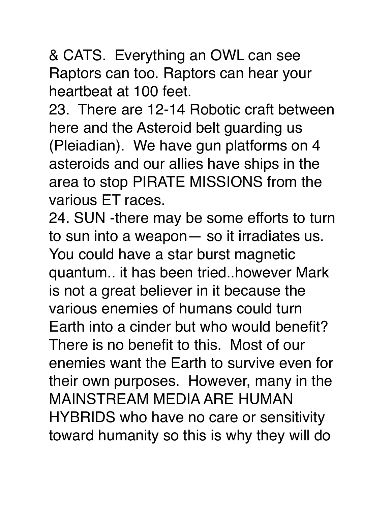& CATS. Everything an OWL can see Raptors can too. Raptors can hear your heartbeat at 100 feet.

23. There are 12-14 Robotic craft between here and the Asteroid belt guarding us (Pleiadian). We have gun platforms on 4 asteroids and our allies have ships in the area to stop PIRATE MISSIONS from the various ET races.

24. SUN -there may be some efforts to turn to sun into a weapon— so it irradiates us. You could have a star burst magnetic quantum.. it has been tried..however Mark is not a great believer in it because the various enemies of humans could turn Earth into a cinder but who would benefit? There is no benefit to this. Most of our enemies want the Earth to survive even for their own purposes. However, many in the MAINSTREAM MEDIA ARE HUMAN HYBRIDS who have no care or sensitivity toward humanity so this is why they will do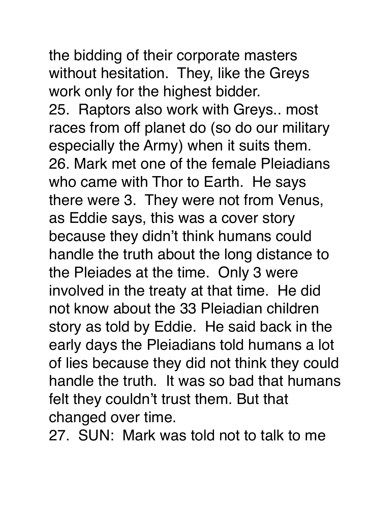the bidding of their corporate masters without hesitation. They, like the Greys work only for the highest bidder. 25. Raptors also work with Greys.. most races from off planet do (so do our military especially the Army) when it suits them. 26. Mark met one of the female Pleiadians who came with Thor to Earth. He says there were 3. They were not from Venus, as Eddie says, this was a cover story because they didn't think humans could handle the truth about the long distance to the Pleiades at the time. Only 3 were involved in the treaty at that time. He did not know about the 33 Pleiadian children story as told by Eddie. He said back in the early days the Pleiadians told humans a lot of lies because they did not think they could handle the truth. It was so bad that humans felt they couldn't trust them. But that changed over time.

27. SUN: Mark was told not to talk to me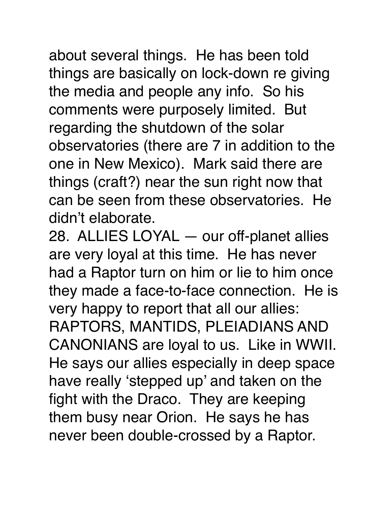about several things. He has been told things are basically on lock-down re giving the media and people any info. So his comments were purposely limited. But regarding the shutdown of the solar observatories (there are 7 in addition to the one in New Mexico). Mark said there are things (craft?) near the sun right now that can be seen from these observatories. He didn't elaborate.

28. ALLIES LOYAL — our off-planet allies are very loyal at this time. He has never had a Raptor turn on him or lie to him once they made a face-to-face connection. He is very happy to report that all our allies: RAPTORS, MANTIDS, PLEIADIANS AND CANONIANS are loyal to us. Like in WWII. He says our allies especially in deep space have really 'stepped up' and taken on the fight with the Draco. They are keeping them busy near Orion. He says he has never been double-crossed by a Raptor.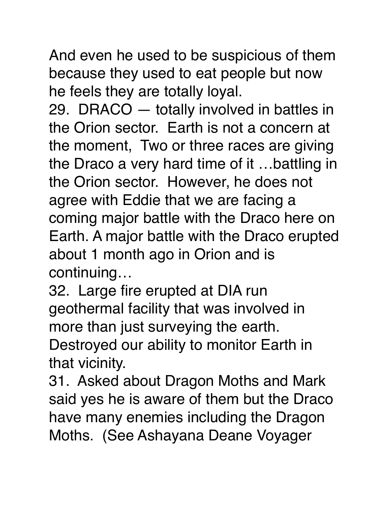And even he used to be suspicious of them because they used to eat people but now he feels they are totally loyal.

29. DRACO — totally involved in battles in the Orion sector. Earth is not a concern at the moment, Two or three races are giving the Draco a very hard time of it …battling in the Orion sector. However, he does not agree with Eddie that we are facing a coming major battle with the Draco here on Earth. A major battle with the Draco erupted about 1 month ago in Orion and is continuing…

32. Large fire erupted at DIA run geothermal facility that was involved in more than just surveying the earth. Destroyed our ability to monitor Earth in that vicinity.

31. Asked about Dragon Moths and Mark said yes he is aware of them but the Draco have many enemies including the Dragon Moths. (See Ashayana Deane Voyager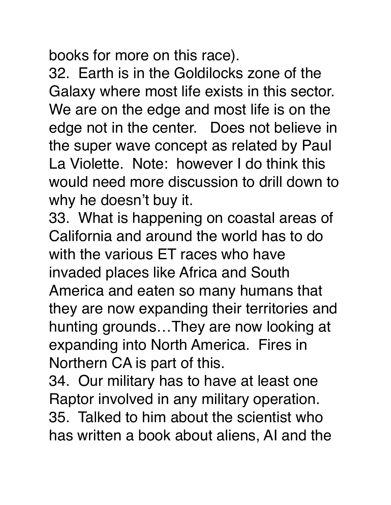books for more on this race).

32. Earth is in the Goldilocks zone of the Galaxy where most life exists in this sector. We are on the edge and most life is on the edge not in the center. Does not believe in the super wave concept as related by Paul La Violette. Note: however I do think this would need more discussion to drill down to why he doesn't buy it.

33. What is happening on coastal areas of California and around the world has to do with the various ET races who have invaded places like Africa and South America and eaten so many humans that they are now expanding their territories and hunting grounds…They are now looking at expanding into North America. Fires in Northern CA is part of this.

34. Our military has to have at least one Raptor involved in any military operation. 35. Talked to him about the scientist who has written a book about aliens, AI and the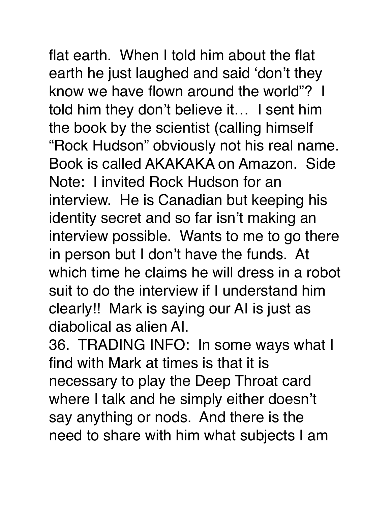flat earth. When I told him about the flat earth he just laughed and said 'don't they know we have flown around the world"? I told him they don't believe it… I sent him the book by the scientist (calling himself "Rock Hudson" obviously not his real name. Book is called AKAKAKA on Amazon. Side Note: I invited Rock Hudson for an interview. He is Canadian but keeping his identity secret and so far isn't making an interview possible. Wants to me to go there in person but I don't have the funds. At

which time he claims he will dress in a robot suit to do the interview if I understand him clearly!! Mark is saying our AI is just as diabolical as alien AI.

36. TRADING INFO: In some ways what I find with Mark at times is that it is necessary to play the Deep Throat card where I talk and he simply either doesn't say anything or nods. And there is the need to share with him what subjects I am